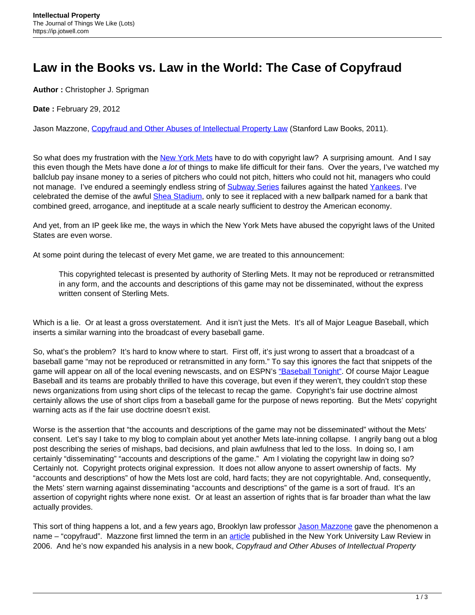## **Law in the Books vs. Law in the World: The Case of Copyfraud**

**Author :** Christopher J. Sprigman

**Date :** February 29, 2012

Jason Mazzone, [Copyfraud and Other Abuses of Intellectual Property Law](http://www.amazon.com/Copyfraud-Other-Abuses-Intellectual-Property/dp/0804760063) (Stanford Law Books, 2011).

So what does my frustration with the [New York Mets](http://newyork.mets.mlb.com/index.jsp?c_id=nym) have to do with copyright law? A surprising amount. And I say this even though the Mets have done a lot of things to make life difficult for their fans. Over the years, I've watched my ballclub pay insane money to a series of pitchers who could not pitch, hitters who could not hit, managers who could not manage. I've endured a seemingly endless string of [Subway Series](http://en.wikipedia.org/wiki/Subway_Series) failures against the hated [Yankees](http://newyork.yankees.mlb.com/index.jsp?c_id=nyy). I've celebrated the demise of the awful **[Shea Stadium](http://newyork.mets.mlb.com/nym/ballpark/history.jsp)**, only to see it replaced with a new ballpark named for a bank that combined greed, arrogance, and ineptitude at a scale nearly sufficient to destroy the American economy.

And yet, from an IP geek like me, the ways in which the New York Mets have abused the copyright laws of the United States are even worse.

At some point during the telecast of every Met game, we are treated to this announcement:

This copyrighted telecast is presented by authority of Sterling Mets. It may not be reproduced or retransmitted in any form, and the accounts and descriptions of this game may not be disseminated, without the express written consent of Sterling Mets.

Which is a lie. Or at least a gross overstatement. And it isn't just the Mets. It's all of Major League Baseball, which inserts a similar warning into the broadcast of every baseball game.

So, what's the problem? It's hard to know where to start. First off, it's just wrong to assert that a broadcast of a baseball game "may not be reproduced or retransmitted in any form." To say this ignores the fact that snippets of the game will appear on all of the local evening newscasts, and on ESPN's ["Baseball Tonight"](http://espn.go.com/espnradio/show?showId=baseballtonight). Of course Major League Baseball and its teams are probably thrilled to have this coverage, but even if they weren't, they couldn't stop these news organizations from using short clips of the telecast to recap the game. Copyright's fair use doctrine almost certainly allows the use of short clips from a baseball game for the purpose of news reporting. But the Mets' copyright warning acts as if the fair use doctrine doesn't exist.

Worse is the assertion that "the accounts and descriptions of the game may not be disseminated" without the Mets' consent. Let's say I take to my blog to complain about yet another Mets late-inning collapse. I angrily bang out a blog post describing the series of mishaps, bad decisions, and plain awfulness that led to the loss. In doing so, I am certainly "disseminating" "accounts and descriptions of the game." Am I violating the copyright law in doing so? Certainly not. Copyright protects original expression. It does not allow anyone to assert ownership of facts. My "accounts and descriptions" of how the Mets lost are cold, hard facts; they are not copyrightable. And, consequently, the Mets' stern warning against disseminating "accounts and descriptions" of the game is a sort of fraud. It's an assertion of copyright rights where none exist. Or at least an assertion of rights that is far broader than what the law actually provides.

This sort of thing happens a lot, and a few years ago, Brooklyn law professor [Jason Mazzone](http://www.brooklaw.edu/Faculty/Directory/FacultyMember/Biography.aspx?id=jason.mazzone) gave the phenomenon a name – "copyfraud". Mazzone first limned the term in an [article](http://papers.ssrn.com/sol3/papers.cfm?abstract_id=787244) published in the New York University Law Review in 2006. And he's now expanded his analysis in a new book, Copyfraud and Other Abuses of Intellectual Property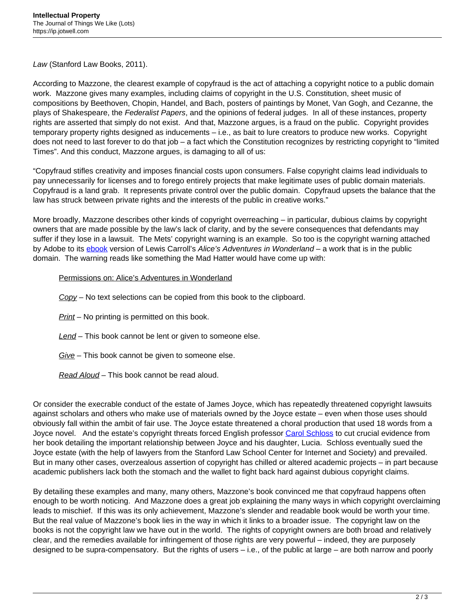Law (Stanford Law Books, 2011).

According to Mazzone, the clearest example of copyfraud is the act of attaching a copyright notice to a public domain work. Mazzone gives many examples, including claims of copyright in the U.S. Constitution, sheet music of compositions by Beethoven, Chopin, Handel, and Bach, posters of paintings by Monet, Van Gogh, and Cezanne, the plays of Shakespeare, the Federalist Papers, and the opinions of federal judges. In all of these instances, property rights are asserted that simply do not exist. And that, Mazzone argues, is a fraud on the public. Copyright provides temporary property rights designed as inducements – i.e., as bait to lure creators to produce new works. Copyright does not need to last forever to do that job – a fact which the Constitution recognizes by restricting copyright to "limited Times". And this conduct, Mazzone argues, is damaging to all of us:

"Copyfraud stifles creativity and imposes financial costs upon consumers. False copyright claims lead individuals to pay unnecessarily for licenses and to forego entirely projects that make legitimate uses of public domain materials. Copyfraud is a land grab. It represents private control over the public domain. Copyfraud upsets the balance that the law has struck between private rights and the interests of the public in creative works."

More broadly, Mazzone describes other kinds of copyright overreaching – in particular, dubious claims by copyright owners that are made possible by the law's lack of clarity, and by the severe consequences that defendants may suffer if they lose in a lawsuit. The Mets' copyright warning is an example. So too is the copyright warning attached by Adobe to its [ebook](http://www.adobe.com/be_en/active-use/pdf03.html) version of Lewis Carroll's Alice's Adventures in Wonderland – a work that is in the public domain. The warning reads like something the Mad Hatter would have come up with:

## Permissions on: Alice's Adventures in Wonderland

 $Co<sub>DY</sub>$  – No text selections can be copied from this book to the clipboard.

Print – No printing is permitted on this book.

Lend – This book cannot be lent or given to someone else.

Give – This book cannot be given to someone else.

Read Aloud – This book cannot be read aloud.

Or consider the execrable conduct of the estate of James Joyce, which has repeatedly threatened copyright lawsuits against scholars and others who make use of materials owned by the Joyce estate – even when those uses should obviously fall within the ambit of fair use. The Joyce estate threatened a choral production that used 18 words from a Joyce novel. And the estate's copyright threats forced English professor [Carol Schloss](http://english.stanford.edu/bio.php?name_id=111) to cut crucial evidence from her book detailing the important relationship between Joyce and his daughter, Lucia. Schloss eventually sued the Joyce estate (with the help of lawyers from the Stanford Law School Center for Internet and Society) and prevailed. But in many other cases, overzealous assertion of copyright has chilled or altered academic projects – in part because academic publishers lack both the stomach and the wallet to fight back hard against dubious copyright claims.

By detailing these examples and many, many others, Mazzone's book convinced me that copyfraud happens often enough to be worth noticing. And Mazzone does a great job explaining the many ways in which copyright overclaiming leads to mischief. If this was its only achievement, Mazzone's slender and readable book would be worth your time. But the real value of Mazzone's book lies in the way in which it links to a broader issue. The copyright law on the books is not the copyright law we have out in the world. The rights of copyright owners are both broad and relatively clear, and the remedies available for infringement of those rights are very powerful – indeed, they are purposely designed to be supra-compensatory. But the rights of users – i.e., of the public at large – are both narrow and poorly